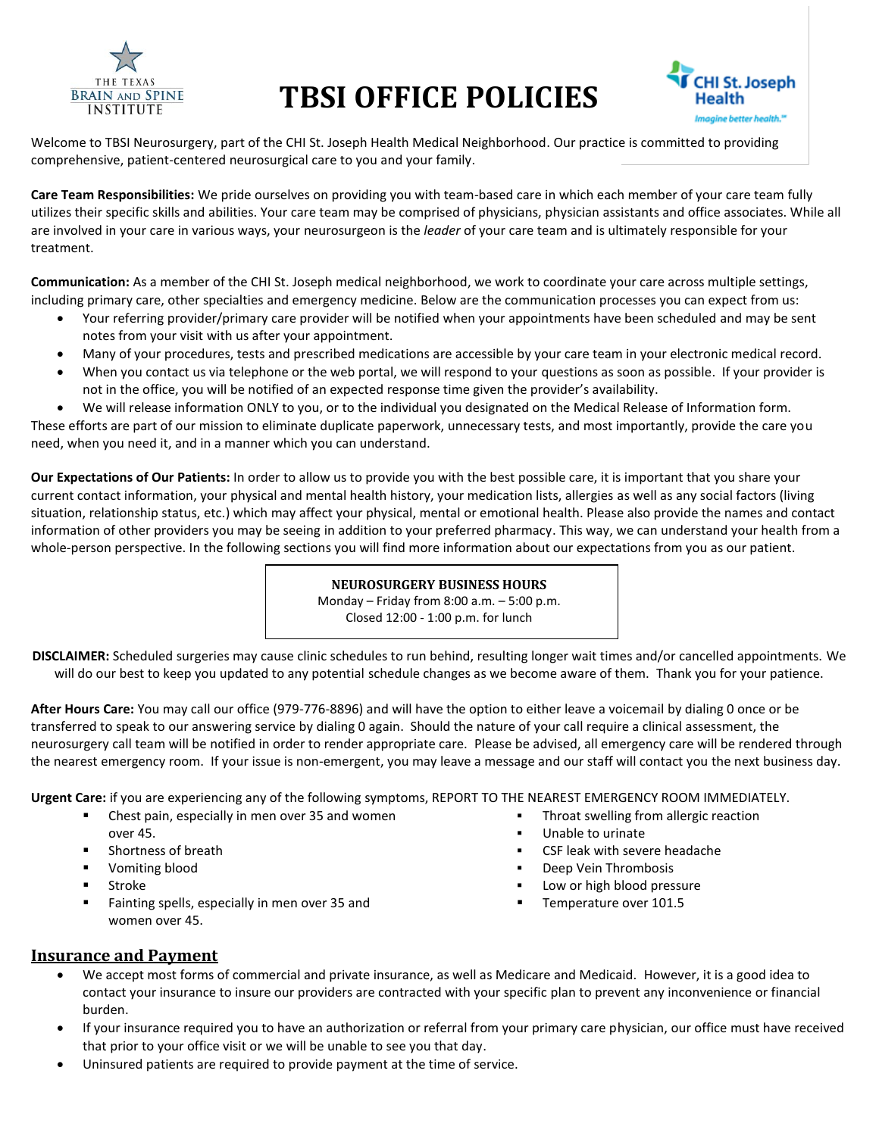

# **TBSI OFFICE POLICIES**



Welcome to TBSI Neurosurgery, part of the CHI St. Joseph Health Medical Neighborhood. Our practice is committed to providing comprehensive, patient-centered neurosurgical care to you and your family.

**Care Team Responsibilities:** We pride ourselves on providing you with team-based care in which each member of your care team fully utilizes their specific skills and abilities. Your care team may be comprised of physicians, physician assistants and office associates. While all are involved in your care in various ways, your neurosurgeon is the *leader* of your care team and is ultimately responsible for your treatment.

**Communication:** As a member of the CHI St. Joseph medical neighborhood, we work to coordinate your care across multiple settings, including primary care, other specialties and emergency medicine. Below are the communication processes you can expect from us:

- Your referring provider/primary care provider will be notified when your appointments have been scheduled and may be sent notes from your visit with us after your appointment.
- Many of your procedures, tests and prescribed medications are accessible by your care team in your electronic medical record.
- When you contact us via telephone or the web portal, we will respond to your questions as soon as possible. If your provider is not in the office, you will be notified of an expected response time given the provider's availability.
- We will release information ONLY to you, or to the individual you designated on the Medical Release of Information form.

These efforts are part of our mission to eliminate duplicate paperwork, unnecessary tests, and most importantly, provide the care you need, when you need it, and in a manner which you can understand.

**Our Expectations of Our Patients:** In order to allow us to provide you with the best possible care, it is important that you share your current contact information, your physical and mental health history, your medication lists, allergies as well as any social factors (living situation, relationship status, etc.) which may affect your physical, mental or emotional health. Please also provide the names and contact information of other providers you may be seeing in addition to your preferred pharmacy. This way, we can understand your health from a whole-person perspective. In the following sections you will find more information about our expectations from you as our patient.

#### **NEUROSURGERY BUSINESS HOURS**

Monday – Friday from 8:00 a.m. – 5:00 p.m. Closed 12:00 - 1:00 p.m. for lunch

**DISCLAIMER:** Scheduled surgeries may cause clinic schedules to run behind, resulting longer wait times and/or cancelled appointments. We will do our best to keep you updated to any potential schedule changes as we become aware of them. Thank you for your patience.

**After Hours Care:** You may call our office (979-776-8896) and will have the option to either leave a voicemail by dialing 0 once or be transferred to speak to our answering service by dialing 0 again. Should the nature of your call require a clinical assessment, the neurosurgery call team will be notified in order to render appropriate care. Please be advised, all emergency care will be rendered through the nearest emergency room. If your issue is non-emergent, you may leave a message and our staff will contact you the next business day.

**Urgent Care:** if you are experiencing any of the following symptoms, REPORT TO THE NEAREST EMERGENCY ROOM IMMEDIATELY.

- Chest pain, especially in men over 35 and women over 45.
- Shortness of breath
- Vomiting blood
- Stroke
- Fainting spells, especially in men over 35 and women over 45.
- Throat swelling from allergic reaction
- Unable to urinate
- CSF leak with severe headache
- Deep Vein Thrombosis
- Low or high blood pressure
- Temperature over 101.5

#### **Insurance and Payment**

- We accept most forms of commercial and private insurance, as well as Medicare and Medicaid. However, it is a good idea to contact your insurance to insure our providers are contracted with your specific plan to prevent any inconvenience or financial burden.
- If your insurance required you to have an authorization or referral from your primary care physician, our office must have received that prior to your office visit or we will be unable to see you that day.
- Uninsured patients are required to provide payment at the time of service.